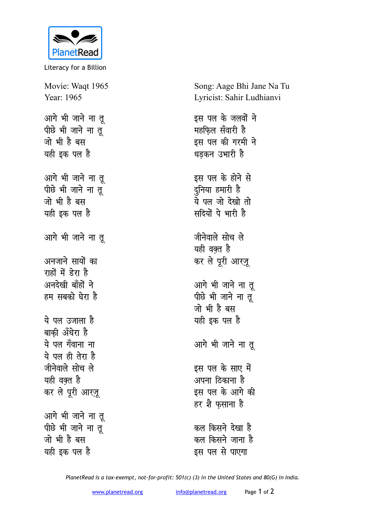

Literacy for a Billion

Movie: Waqt 1965 Year: 1965 आगे भी जाने ना त पीछे भी जाने ना तू जो भी है बस यही इक पल है आगे भी जाने ना तृ पीछे भी जाने ना तू जो भी है बस यही इक पल है आगे भी जाने ना तू अनजाने सायों का राहों में डेरा है अनदेखी बाँहों ने हम सबको घेरा है ये पल उजाला है बाकी अँधेरा है ये पल गँवाना ना ये पल ही तेरा है जीनेवाले सोच ले यही वक्त है कर ले पूरी आरज़ू आगे भी जाने ना तू पीछे भी जाने ना त जो भी है बस यही इक पल है

Song: Aage Bhi Jane Na Tu Lyricist: Sahir Ludhianvi

इस पल के जलवों ने महफिल सँवारी है इस पल की गरमी ने धड़कन उभारी है इस पल के होने से दुनिया हमारी है ये पल जो देखो तो सदियों पे भारी है जीनेवाले सोच ले यही वक्त है कर ले पूरी आरज़ू आगे भी जाने ना तू पीछे भी जाने ना तू जो भी है बस यही इक पल है आगे भी जाने ना तू इस पल के साए में अपना ठिकाना है इस पल के आगे की हर शै फसाना है कल किसने देखा है कल किसने जाना है

इस पल से पाएगा

PlanetRead is a tax-exempt, not-for-profit: 501(c) (3) in the United States and 80(G) in India.